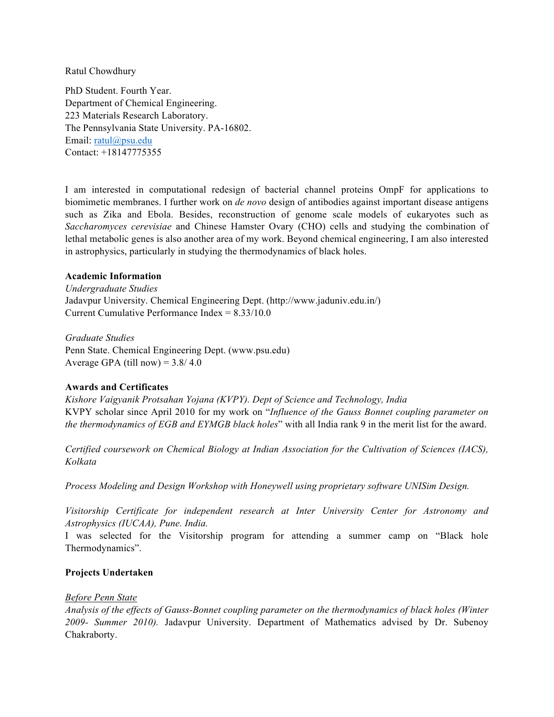Ratul Chowdhury

PhD Student. Fourth Year. Department of Chemical Engineering. 223 Materials Research Laboratory. The Pennsylvania State University. PA-16802. Email: ratul@psu.edu Contact: +18147775355

I am interested in computational redesign of bacterial channel proteins OmpF for applications to biomimetic membranes. I further work on *de novo* design of antibodies against important disease antigens such as Zika and Ebola. Besides, reconstruction of genome scale models of eukaryotes such as *Saccharomyces cerevisiae* and Chinese Hamster Ovary (CHO) cells and studying the combination of lethal metabolic genes is also another area of my work. Beyond chemical engineering, I am also interested in astrophysics, particularly in studying the thermodynamics of black holes.

### **Academic Information**

*Undergraduate Studies* Jadavpur University. Chemical Engineering Dept. (http://www.jaduniv.edu.in/) Current Cumulative Performance Index = 8.33/10.0

*Graduate Studies* Penn State. Chemical Engineering Dept. (www.psu.edu) Average GPA (till now) =  $3.8/4.0$ 

#### **Awards and Certificates**

*Kishore Vaigyanik Protsahan Yojana (KVPY). Dept of Science and Technology, India* KVPY scholar since April 2010 for my work on "*Influence of the Gauss Bonnet coupling parameter on the thermodynamics of EGB and EYMGB black holes*" with all India rank 9 in the merit list for the award.

*Certified coursework on Chemical Biology at Indian Association for the Cultivation of Sciences (IACS), Kolkata*

*Process Modeling and Design Workshop with Honeywell using proprietary software UNISim Design.*

*Visitorship Certificate for independent research at Inter University Center for Astronomy and Astrophysics (IUCAA), Pune. India.*

I was selected for the Visitorship program for attending a summer camp on "Black hole Thermodynamics".

#### **Projects Undertaken**

#### *Before Penn State*

*Analysis of the effects of Gauss-Bonnet coupling parameter on the thermodynamics of black holes (Winter 2009- Summer 2010).* Jadavpur University. Department of Mathematics advised by Dr. Subenoy Chakraborty.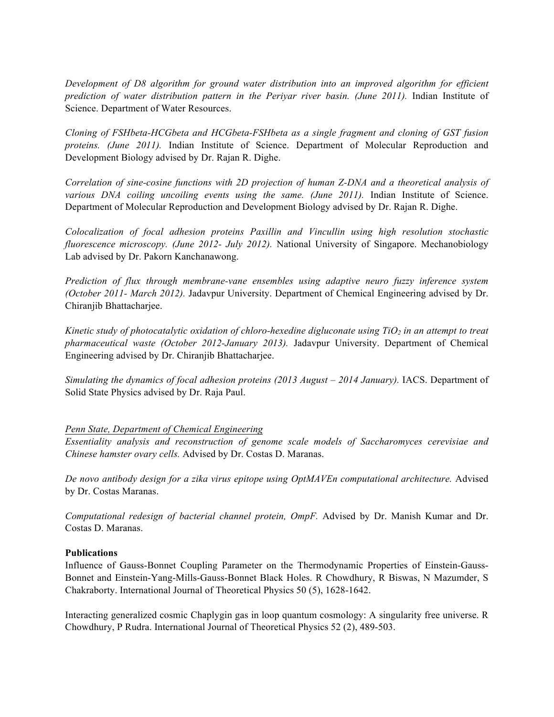*Development of D8 algorithm for ground water distribution into an improved algorithm for efficient prediction of water distribution pattern in the Periyar river basin. (June 2011).* Indian Institute of Science. Department of Water Resources.

*Cloning of FSHbeta-HCGbeta and HCGbeta-FSHbeta as a single fragment and cloning of GST fusion proteins. (June 2011).* Indian Institute of Science. Department of Molecular Reproduction and Development Biology advised by Dr. Rajan R. Dighe.

*Correlation of sine-cosine functions with 2D projection of human Z-DNA and a theoretical analysis of various DNA coiling uncoiling events using the same. (June 2011).* Indian Institute of Science. Department of Molecular Reproduction and Development Biology advised by Dr. Rajan R. Dighe.

*Colocalization of focal adhesion proteins Paxillin and Vincullin using high resolution stochastic fluorescence microscopy. (June 2012- July 2012).* National University of Singapore. Mechanobiology Lab advised by Dr. Pakorn Kanchanawong.

*Prediction of flux through membrane-vane ensembles using adaptive neuro fuzzy inference system (October 2011- March 2012).* Jadavpur University. Department of Chemical Engineering advised by Dr. Chiranjib Bhattacharjee.

*Kinetic study of photocatalytic oxidation of chloro-hexedine digluconate using TiO<sub>2</sub> in an attempt to treat pharmaceutical waste (October 2012-January 2013).* Jadavpur University. Department of Chemical Engineering advised by Dr. Chiranjib Bhattacharjee.

*Simulating the dynamics of focal adhesion proteins (2013 August – 2014 January).* IACS. Department of Solid State Physics advised by Dr. Raja Paul.

#### *Penn State, Department of Chemical Engineering*

*Essentiality analysis and reconstruction of genome scale models of Saccharomyces cerevisiae and Chinese hamster ovary cells.* Advised by Dr. Costas D. Maranas.

*De novo antibody design for a zika virus epitope using OptMAVEn computational architecture.* Advised by Dr. Costas Maranas.

*Computational redesign of bacterial channel protein, OmpF.* Advised by Dr. Manish Kumar and Dr. Costas D. Maranas.

#### **Publications**

Influence of Gauss-Bonnet Coupling Parameter on the Thermodynamic Properties of Einstein-Gauss-Bonnet and Einstein-Yang-Mills-Gauss-Bonnet Black Holes. R Chowdhury, R Biswas, N Mazumder, S Chakraborty. International Journal of Theoretical Physics 50 (5), 1628-1642.

Interacting generalized cosmic Chaplygin gas in loop quantum cosmology: A singularity free universe. R Chowdhury, P Rudra. International Journal of Theoretical Physics 52 (2), 489-503.